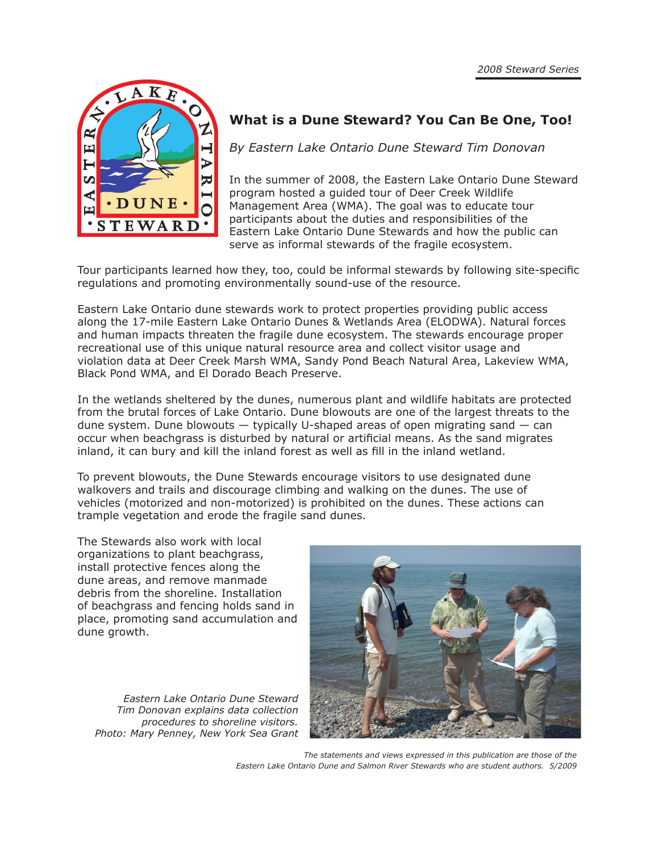

### **What is a Dune Steward? You Can Be One, Too!**

*By Eastern Lake Ontario Dune Steward Tim Donovan*

In the summer of 2008, the Eastern Lake Ontario Dune Steward program hosted a guided tour of Deer Creek Wildlife Management Area (WMA). The goal was to educate tour participants about the duties and responsibilities of the Eastern Lake Ontario Dune Stewards and how the public can serve as informal stewards of the fragile ecosystem.

Tour participants learned how they, too, could be informal stewards by following site-specific regulations and promoting environmentally sound-use of the resource.

Eastern Lake Ontario dune stewards work to protect properties providing public access along the 17-mile Eastern Lake Ontario Dunes & Wetlands Area (ELODWA). Natural forces and human impacts threaten the fragile dune ecosystem. The stewards encourage proper recreational use of this unique natural resource area and collect visitor usage and violation data at Deer Creek Marsh WMA, Sandy Pond Beach Natural Area, Lakeview WMA, Black Pond WMA, and El Dorado Beach Preserve.

In the wetlands sheltered by the dunes, numerous plant and wildlife habitats are protected from the brutal forces of Lake Ontario. Dune blowouts are one of the largest threats to the dune system. Dune blowouts — typically U-shaped areas of open migrating sand — can occur when beachgrass is disturbed by natural or artificial means. As the sand migrates inland, it can bury and kill the inland forest as well as fill in the inland wetland.

To prevent blowouts, the Dune Stewards encourage visitors to use designated dune walkovers and trails and discourage climbing and walking on the dunes. The use of vehicles (motorized and non-motorized) is prohibited on the dunes. These actions can trample vegetation and erode the fragile sand dunes.

The Stewards also work with local organizations to plant beachgrass, install protective fences along the dune areas, and remove manmade debris from the shoreline. Installation of beachgrass and fencing holds sand in place, promoting sand accumulation and dune growth.

*Eastern Lake Ontario Dune Steward Tim Donovan explains data collection procedures to shoreline visitors. Photo: Mary Penney, New York Sea Grant*



*The statements and views expressed in this publication are those of the Eastern Lake Ontario Dune and Salmon River Stewards who are student authors. 5/2009*